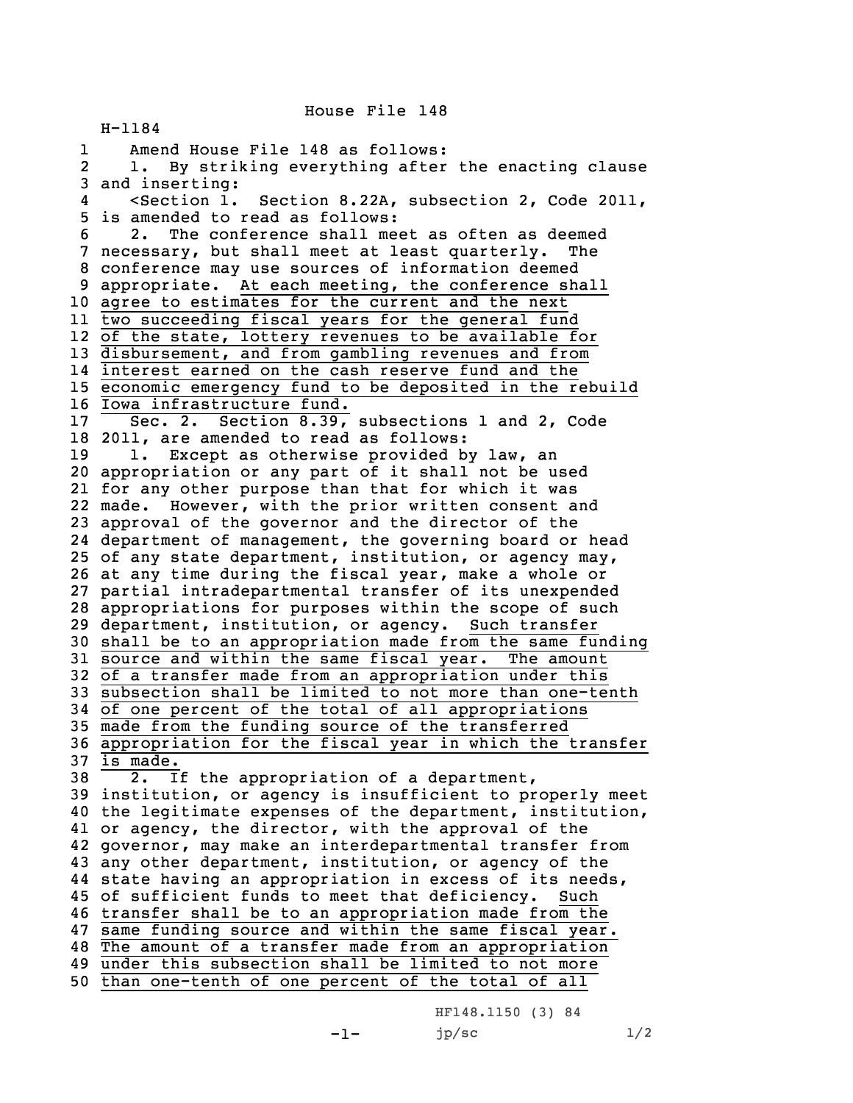House File 148

H-1184 1 Amend House File 148 as follows: 2 1. By striking everything after the enacting clause and inserting: 4 <Section 1. Section 8.22A, subsection 2, Code 2011, is amended to read as follows: 2. The conference shall meet as often as deemed necessary, but shall meet at least quarterly. The conference may use sources of information deemed appropriate. At each meeting, the conference shall agree to estimates for the current and the next two succeeding fiscal years for the general fund of the state, lottery revenues to be available for disbursement, and from gambling revenues and from interest earned on the cash reserve fund and the economic emergency fund to be deposited in the rebuild Iowa infrastructure fund. 17 Sec. 2. Section 8.39, subsections 1 and 2, Code 2011, are amended to read as follows: 19 1. Except as otherwise provided by law, an appropriation or any part of it shall not be used for any other purpose than that for which it was made. However, with the prior written consent and approval of the governor and the director of the department of management, the governing board or head of any state department, institution, or agency may, at any time during the fiscal year, make <sup>a</sup> whole or partial intradepartmental transfer of its unexpended appropriations for purposes within the scope of such department, institution, or agency. Such transfer shall be to an appropriation made from the same funding source and within the same fiscal year. The amount of <sup>a</sup> transfer made from an appropriation under this subsection shall be limited to not more than one-tenth of one percent of the total of all appropriations made from the funding source of the transferred appropriation for the fiscal year in which the transfer 37 is made. 2. If the appropriation of <sup>a</sup> department, institution, or agency is insufficient to properly meet the legitimate expenses of the department, institution, or agency, the director, with the approval of the governor, may make an interdepartmental transfer from any other department, institution, or agency of the state having an appropriation in excess of its needs, of sufficient funds to meet that deficiency. Such transfer shall be to an appropriation made from the same funding source and within the same fiscal year. The amount of <sup>a</sup> transfer made from an appropriation under this subsection shall be limited to not more than one-tenth of one percent of the total of all

HF148.1150 (3) 84  $jp/sec$   $1/2$